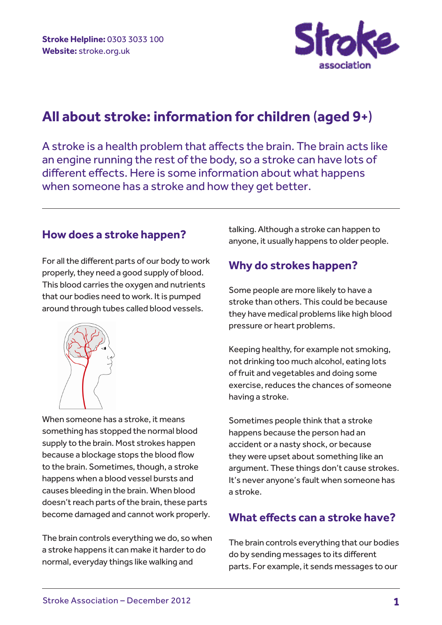

# **All about stroke: information for children** (**aged 9+**)

A stroke is a health problem that affects the brain. The brain acts like an engine running the rest of the body, so a stroke can have lots of different effects. Here is some information about what happens when someone has a stroke and how they get better.

### **How does a stroke happen?**

For all the different parts of our body to work properly, they need a good supply of blood. This blood carries the oxygen and nutrients that our bodies need to work. It is pumped around through tubes called blood vessels.



When someone has a stroke, it means something has stopped the normal blood supply to the brain. Most strokes happen because a blockage stops the blood flow to the brain. Sometimes, though, a stroke happens when a blood vessel bursts and causes bleeding in the brain. When blood doesn't reach parts of the brain, these parts become damaged and cannot work properly.

The brain controls everything we do, so when a stroke happens it can make it harder to do normal, everyday things like walking and

talking. Although a stroke can happen to anyone, it usually happens to older people.

### **Why do strokes happen?**

Some people are more likely to have a stroke than others. This could be because they have medical problems like high blood pressure or heart problems.

Keeping healthy, for example not smoking, not drinking too much alcohol, eating lots of fruit and vegetables and doing some exercise, reduces the chances of someone having a stroke.

Sometimes people think that a stroke happens because the person had an accident or a nasty shock, or because they were upset about something like an argument. These things don't cause strokes. It's never anyone's fault when someone has a stroke.

### **What effects can a stroke have?**

The brain controls everything that our bodies do by sending messages to its different parts. For example, it sends messages to our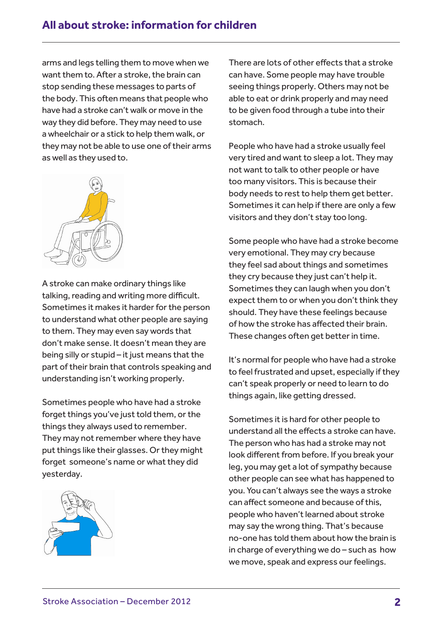arms and legs telling them to move when we want them to. After a stroke, the brain can stop sending these messages to parts of the body. This often means that people who have had a stroke can't walk or move in the way they did before. They may need to use a wheelchair or a stick to help them walk, or they may not be able to use one of their arms as well as they used to.



A stroke can make ordinary things like talking, reading and writing more difficult. Sometimes it makes it harder for the person to understand what other people are saying to them. They may even say words that don't make sense. It doesn't mean they are being silly or stupid – it just means that the part of their brain that controls speaking and understanding isn't working properly.

Sometimes people who have had a stroke forget things you've just told them, or the things they always used to remember. They may not remember where they have put things like their glasses. Or they might forget someone's name or what they did yesterday.



There are lots of other effects that a stroke can have. Some people may have trouble seeing things properly. Others may not be able to eat or drink properly and may need to be given food through a tube into their stomach.

People who have had a stroke usually feel very tired and want to sleep a lot. They may not want to talk to other people or have too many visitors. This is because their body needs to rest to help them get better. Sometimes it can help if there are only a few visitors and they don't stay too long.

Some people who have had a stroke become very emotional. They may cry because they feel sad about things and sometimes they cry because they just can't help it. Sometimes they can laugh when you don't expect them to or when you don't think they should. They have these feelings because of how the stroke has affected their brain. These changes often get better in time.

It's normal for people who have had a stroke to feel frustrated and upset, especially if they can't speak properly or need to learn to do things again, like getting dressed.

Sometimes it is hard for other people to understand all the effects a stroke can have. The person who has had a stroke may not look different from before. If you break your leg, you may get a lot of sympathy because other people can see what has happened to you. You can't always see the ways a stroke can affect someone and because of this, people who haven't learned about stroke may say the wrong thing. That's because no-one has told them about how the brain is in charge of everything we do – such as how we move, speak and express our feelings.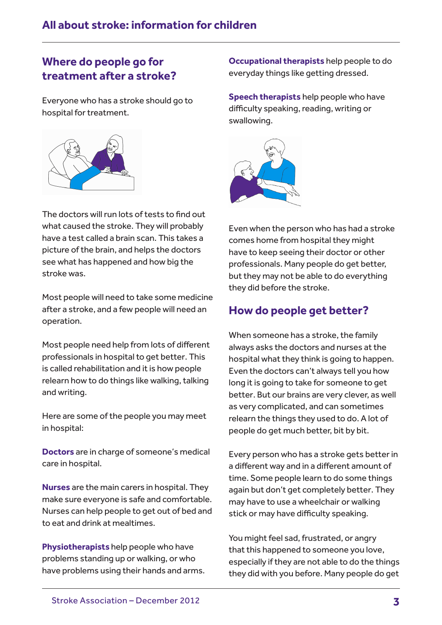## **Where do people go for treatment after a stroke?**

Everyone who has a stroke should go to hospital for treatment.



The doctors will run lots of tests to find out what caused the stroke. They will probably have a test called a brain scan. This takes a picture of the brain, and helps the doctors see what has happened and how big the stroke was.

Most people will need to take some medicine after a stroke, and a few people will need an operation.

Most people need help from lots of different professionals in hospital to get better. This is called rehabilitation and it is how people relearn how to do things like walking, talking and writing.

Here are some of the people you may meet in hospital:

**Doctors** are in charge of someone's medical care in hospital.

**Nurses** are the main carers in hospital. They make sure everyone is safe and comfortable. Nurses can help people to get out of bed and to eat and drink at mealtimes.

**Physiotherapists** help people who have problems standing up or walking, or who have problems using their hands and arms. **Occupational therapists** help people to do everyday things like getting dressed.

**Speech therapists** help people who have difficulty speaking, reading, writing or swallowing.



Even when the person who has had a stroke comes home from hospital they might have to keep seeing their doctor or other professionals. Many people do get better, but they may not be able to do everything they did before the stroke.

### **How do people get better?**

When someone has a stroke, the family always asks the doctors and nurses at the hospital what they think is going to happen. Even the doctors can't always tell you how long it is going to take for someone to get better. But our brains are very clever, as well as very complicated, and can sometimes relearn the things they used to do. A lot of people do get much better, bit by bit.

Every person who has a stroke gets better in a different way and in a different amount of time. Some people learn to do some things again but don't get completely better. They may have to use a wheelchair or walking stick or may have difficulty speaking.

You might feel sad, frustrated, or angry that this happened to someone you love, especially if they are not able to do the things they did with you before. Many people do get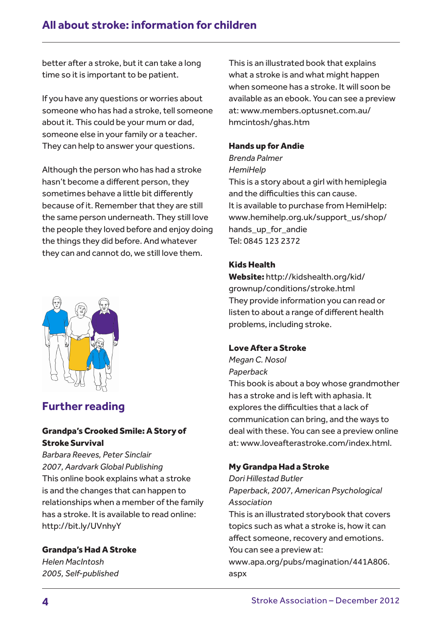better after a stroke, but it can take a long time so it is important to be patient.

If you have any questions or worries about someone who has had a stroke, tell someone about it. This could be your mum or dad, someone else in your family or a teacher. They can help to answer your questions.

Although the person who has had a stroke hasn't become a different person, they sometimes behave a little bit differently because of it. Remember that they are still the same person underneath. They still love the people they loved before and enjoy doing the things they did before. And whatever they can and cannot do, we still love them.



### **Further reading**

#### Grandpa's Crooked Smile: A Story of Stroke Survival

*Barbara Reeves, Peter Sinclair 2007, Aardvark Global Publishing*  This online book explains what a stroke is and the changes that can happen to relationships when a member of the family has a stroke. It is available to read online: http://bit.ly/UVnhyY

#### Grandpa's Had A Stroke

*Helen MacIntosh 2005, Self-published* This is an illustrated book that explains what a stroke is and what might happen when someone has a stroke. It will soon be available as an ebook. You can see a preview at: www.members.optusnet.com.au/ hmcintosh/ghas.htm

#### Hands up for Andie

*Brenda Palmer HemiHelp* 

This is a story about a girl with hemiplegia and the difficulties this can cause. It is available to purchase from HemiHelp: www.hemihelp.org.uk/support\_us/shop/ hands up for andie Tel: 0845 123 2372

#### Kids Health

Website: http://kidshealth.org/kid/ grownup/conditions/stroke.html They provide information you can read or listen to about a range of different health problems, including stroke.

#### Love After a Stroke

*Megan C. Nosol Paperback*

This book is about a boy whose grandmother has a stroke and is left with aphasia. It explores the difficulties that a lack of communication can bring, and the ways to deal with these. You can see a preview online at: www.loveafterastroke.com/index.html.

#### My Grandpa Had a Stroke

*Dori Hillestad Butler Paperback, 2007, American Psychological Association*

This is an illustrated storybook that covers topics such as what a stroke is, how it can affect someone, recovery and emotions. You can see a preview at:

www.apa.org/pubs/magination/441A806. aspx